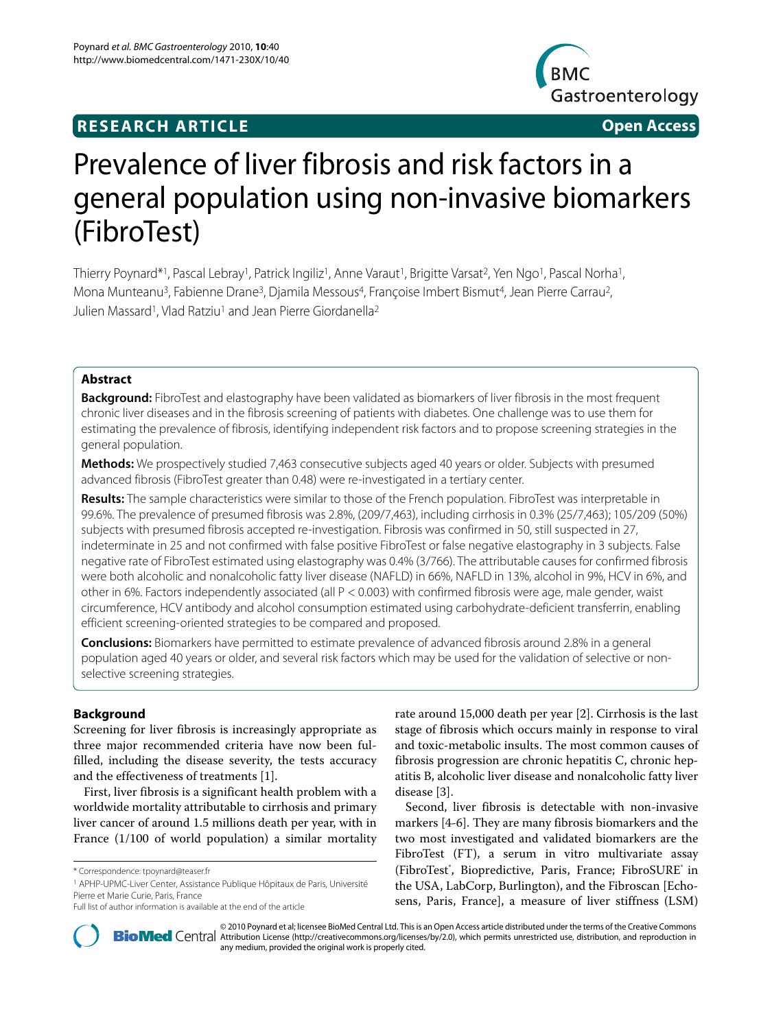# **RESEARCH ARTICLE Open Access**



# Prevalence of liver fibrosis and risk factors in a general population using non-invasive biomarkers (FibroTest)

Thierry Poynard\*1, Pascal Lebray1, Patrick Ingiliz<sup>1</sup>, Anne Varaut<sup>1</sup>, Brigitte Varsat<sup>2</sup>, Yen Ngo<sup>1</sup>, Pascal Norha1, Mona Munteanu<sup>3</sup>, Fabienne Drane<sup>3</sup>, Djamila Messous<sup>4</sup>, Françoise Imbert Bismut<sup>4</sup>, Jean Pierre Carrau<sup>2</sup>, Julien Massard<sup>1</sup>, Vlad Ratziu<sup>1</sup> and Jean Pierre Giordanella<sup>2</sup>

# **Abstract**

**Background:** FibroTest and elastography have been validated as biomarkers of liver fibrosis in the most frequent chronic liver diseases and in the fibrosis screening of patients with diabetes. One challenge was to use them for estimating the prevalence of fibrosis, identifying independent risk factors and to propose screening strategies in the general population.

**Methods:** We prospectively studied 7,463 consecutive subjects aged 40 years or older. Subjects with presumed advanced fibrosis (FibroTest greater than 0.48) were re-investigated in a tertiary center.

**Results:** The sample characteristics were similar to those of the French population. FibroTest was interpretable in 99.6%. The prevalence of presumed fibrosis was 2.8%, (209/7,463), including cirrhosis in 0.3% (25/7,463); 105/209 (50%) subjects with presumed fibrosis accepted re-investigation. Fibrosis was confirmed in 50, still suspected in 27, indeterminate in 25 and not confirmed with false positive FibroTest or false negative elastography in 3 subjects. False negative rate of FibroTest estimated using elastography was 0.4% (3/766). The attributable causes for confirmed fibrosis were both alcoholic and nonalcoholic fatty liver disease (NAFLD) in 66%, NAFLD in 13%, alcohol in 9%, HCV in 6%, and other in 6%. Factors independently associated (all P < 0.003) with confirmed fibrosis were age, male gender, waist circumference, HCV antibody and alcohol consumption estimated using carbohydrate-deficient transferrin, enabling efficient screening-oriented strategies to be compared and proposed.

**Conclusions:** Biomarkers have permitted to estimate prevalence of advanced fibrosis around 2.8% in a general population aged 40 years or older, and several risk factors which may be used for the validation of selective or nonselective screening strategies.

# **Background**

Screening for liver fibrosis is increasingly appropriate as three major recommended criteria have now been fulfilled, including the disease severity, the tests accuracy and the effectiveness of treatments [[1\]](#page-11-0).

First, liver fibrosis is a significant health problem with a worldwide mortality attributable to cirrhosis and primary liver cancer of around 1.5 millions death per year, with in France (1/100 of world population) a similar mortality

1 APHP-UPMC-Liver Center, Assistance Publique Hôpitaux de Paris, Université Pierre et Marie Curie, Paris, France

rate around 15,000 death per year [\[2](#page-11-1)]. Cirrhosis is the last stage of fibrosis which occurs mainly in response to viral and toxic-metabolic insults. The most common causes of fibrosis progression are chronic hepatitis C, chronic hepatitis B, alcoholic liver disease and nonalcoholic fatty liver disease [\[3](#page-11-2)].

Second, liver fibrosis is detectable with non-invasive markers [\[4](#page-11-3)-[6\]](#page-11-4). They are many fibrosis biomarkers and the two most investigated and validated biomarkers are the FibroTest (FT), a serum in vitro multivariate assay (FibroTest<sup>®</sup>, Biopredictive, Paris, France; FibroSURE<sup>®</sup> in the USA, LabCorp, Burlington), and the Fibroscan [Echosens, Paris, France], a measure of liver stiffness (LSM)



2010 Poynard et al; licensee [BioMed](http://www.biomedcentral.com/) Central Ltd. This is an Open Access article distributed under the terms of the Creative Commons (http://creativecommons.org/licenses/by/2.0), which permits unrestricted use, distribution any medium, provided the original work is properly cited.

<sup>\*</sup> Correspondence: tpoynard@teaser.fr

Full list of author information is available at the end of the article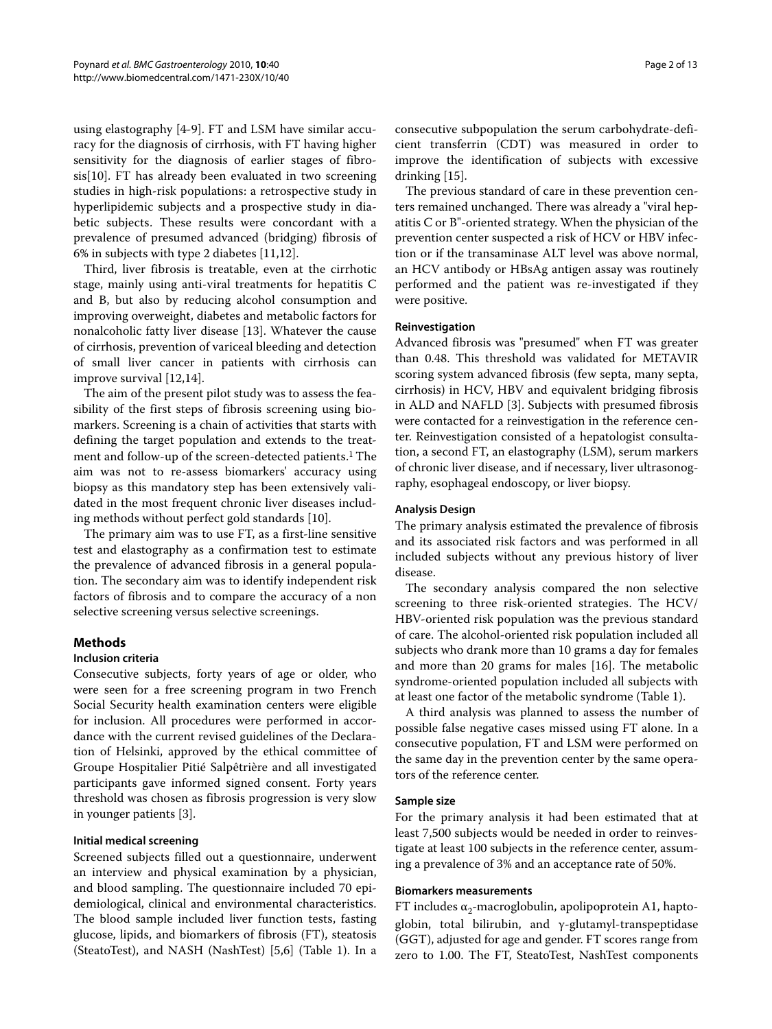using elastography [[4-](#page-11-3)[9\]](#page-11-5). FT and LSM have similar accuracy for the diagnosis of cirrhosis, with FT having higher sensitivity for the diagnosis of earlier stages of fibrosis[\[10\]](#page-11-6). FT has already been evaluated in two screening studies in high-risk populations: a retrospective study in hyperlipidemic subjects and a prospective study in diabetic subjects. These results were concordant with a prevalence of presumed advanced (bridging) fibrosis of 6% in subjects with type 2 diabetes [\[11](#page-11-7)[,12](#page-11-8)].

Third, liver fibrosis is treatable, even at the cirrhotic stage, mainly using anti-viral treatments for hepatitis C and B, but also by reducing alcohol consumption and improving overweight, diabetes and metabolic factors for nonalcoholic fatty liver disease [\[13\]](#page-11-9). Whatever the cause of cirrhosis, prevention of variceal bleeding and detection of small liver cancer in patients with cirrhosis can improve survival [\[12](#page-11-8),[14](#page-11-10)].

The aim of the present pilot study was to assess the feasibility of the first steps of fibrosis screening using biomarkers. Screening is a chain of activities that starts with defining the target population and extends to the treatment and follow-up of the screen-detected patients.<sup>1</sup> The aim was not to re-assess biomarkers' accuracy using biopsy as this mandatory step has been extensively validated in the most frequent chronic liver diseases including methods without perfect gold standards [\[10](#page-11-6)].

The primary aim was to use FT, as a first-line sensitive test and elastography as a confirmation test to estimate the prevalence of advanced fibrosis in a general population. The secondary aim was to identify independent risk factors of fibrosis and to compare the accuracy of a non selective screening versus selective screenings.

# **Methods**

#### **Inclusion criteria**

Consecutive subjects, forty years of age or older, who were seen for a free screening program in two French Social Security health examination centers were eligible for inclusion. All procedures were performed in accordance with the current revised guidelines of the Declaration of Helsinki, approved by the ethical committee of Groupe Hospitalier Pitié Salpêtrière and all investigated participants gave informed signed consent. Forty years threshold was chosen as fibrosis progression is very slow in younger patients [[3\]](#page-11-2).

# **Initial medical screening**

Screened subjects filled out a questionnaire, underwent an interview and physical examination by a physician, and blood sampling. The questionnaire included 70 epidemiological, clinical and environmental characteristics. The blood sample included liver function tests, fasting glucose, lipids, and biomarkers of fibrosis (FT), steatosis (SteatoTest), and NASH (NashTest) [\[5](#page-11-11),[6\]](#page-11-4) (Table 1). In a Page 2 of 13

consecutive subpopulation the serum carbohydrate-deficient transferrin (CDT) was measured in order to improve the identification of subjects with excessive drinking [\[15\]](#page-11-12).

The previous standard of care in these prevention centers remained unchanged. There was already a "viral hepatitis C or B"-oriented strategy. When the physician of the prevention center suspected a risk of HCV or HBV infection or if the transaminase ALT level was above normal, an HCV antibody or HBsAg antigen assay was routinely performed and the patient was re-investigated if they were positive.

#### **Reinvestigation**

Advanced fibrosis was "presumed" when FT was greater than 0.48. This threshold was validated for METAVIR scoring system advanced fibrosis (few septa, many septa, cirrhosis) in HCV, HBV and equivalent bridging fibrosis in ALD and NAFLD [\[3](#page-11-2)]. Subjects with presumed fibrosis were contacted for a reinvestigation in the reference center. Reinvestigation consisted of a hepatologist consultation, a second FT, an elastography (LSM), serum markers of chronic liver disease, and if necessary, liver ultrasonography, esophageal endoscopy, or liver biopsy.

#### **Analysis Design**

The primary analysis estimated the prevalence of fibrosis and its associated risk factors and was performed in all included subjects without any previous history of liver disease.

The secondary analysis compared the non selective screening to three risk-oriented strategies. The HCV/ HBV-oriented risk population was the previous standard of care. The alcohol-oriented risk population included all subjects who drank more than 10 grams a day for females and more than 20 grams for males [\[16](#page-11-13)]. The metabolic syndrome-oriented population included all subjects with at least one factor of the metabolic syndrome (Table 1).

A third analysis was planned to assess the number of possible false negative cases missed using FT alone. In a consecutive population, FT and LSM were performed on the same day in the prevention center by the same operators of the reference center.

#### **Sample size**

For the primary analysis it had been estimated that at least 7,500 subjects would be needed in order to reinvestigate at least 100 subjects in the reference center, assuming a prevalence of 3% and an acceptance rate of 50%.

#### **Biomarkers measurements**

FT includes  $\alpha_2$ -macroglobulin, apolipoprotein A1, haptoglobin, total bilirubin, and γ-glutamyl-transpeptidase (GGT), adjusted for age and gender. FT scores range from zero to 1.00. The FT, SteatoTest, NashTest components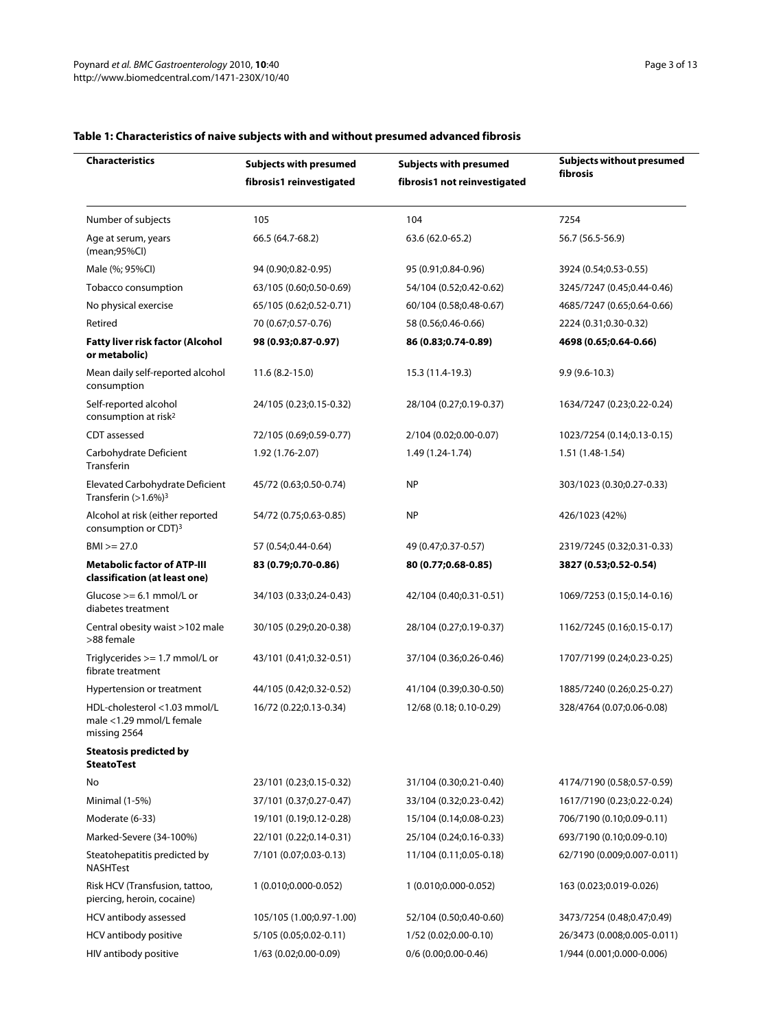| <b>Characteristics</b>                                                   | Subjects with presumed   | <b>Subjects with presumed</b> | Subjects without presumed<br>fibrosis |
|--------------------------------------------------------------------------|--------------------------|-------------------------------|---------------------------------------|
|                                                                          | fibrosis1 reinvestigated | fibrosis1 not reinvestigated  |                                       |
| Number of subjects                                                       | 105                      | 104                           | 7254                                  |
| Age at serum, years<br>(mean;95%Cl)                                      | 66.5 (64.7-68.2)         | 63.6 (62.0-65.2)              | 56.7 (56.5-56.9)                      |
| Male (%; 95%Cl)                                                          | 94 (0.90;0.82-0.95)      | 95 (0.91;0.84-0.96)           | 3924 (0.54;0.53-0.55)                 |
| Tobacco consumption                                                      | 63/105 (0.60;0.50-0.69)  | 54/104 (0.52;0.42-0.62)       | 3245/7247 (0.45;0.44-0.46)            |
| No physical exercise                                                     | 65/105 (0.62;0.52-0.71)  | 60/104 (0.58;0.48-0.67)       | 4685/7247 (0.65;0.64-0.66)            |
| Retired                                                                  | 70 (0.67;0.57-0.76)      | 58 (0.56;0.46-0.66)           | 2224 (0.31;0.30-0.32)                 |
| <b>Fatty liver risk factor (Alcohol</b><br>or metabolic)                 | 98 (0.93;0.87-0.97)      | 86 (0.83;0.74-0.89)           | 4698 (0.65;0.64-0.66)                 |
| Mean daily self-reported alcohol<br>consumption                          | $11.6(8.2 - 15.0)$       | 15.3 (11.4-19.3)              | $9.9(9.6 - 10.3)$                     |
| Self-reported alcohol<br>consumption at risk <sup>2</sup>                | 24/105 (0.23;0.15-0.32)  | 28/104 (0.27;0.19-0.37)       | 1634/7247 (0.23;0.22-0.24)            |
| CDT assessed                                                             | 72/105 (0.69;0.59-0.77)  | 2/104 (0.02;0.00-0.07)        | 1023/7254 (0.14;0.13-0.15)            |
| Carbohydrate Deficient<br>Transferin                                     | 1.92 (1.76-2.07)         | 1.49 (1.24-1.74)              | 1.51 (1.48-1.54)                      |
| Elevated Carbohydrate Deficient<br>Transferin $(>1.6\%)$ <sup>3</sup>    | 45/72 (0.63;0.50-0.74)   | <b>NP</b>                     | 303/1023 (0.30;0.27-0.33)             |
| Alcohol at risk (either reported<br>consumption or CDT) <sup>3</sup>     | 54/72 (0.75;0.63-0.85)   | <b>NP</b>                     | 426/1023 (42%)                        |
| $BM$ $>= 27.0$                                                           | 57 (0.54;0.44-0.64)      | 49 (0.47;0.37-0.57)           | 2319/7245 (0.32;0.31-0.33)            |
| <b>Metabolic factor of ATP-III</b><br>classification (at least one)      | 83 (0.79;0.70-0.86)      | 80 (0.77;0.68-0.85)           | 3827 (0.53;0.52-0.54)                 |
| Glucose $>= 6.1$ mmol/L or<br>diabetes treatment                         | 34/103 (0.33;0.24-0.43)  | 42/104 (0.40;0.31-0.51)       | 1069/7253 (0.15;0.14-0.16)            |
| Central obesity waist >102 male<br>>88 female                            | 30/105 (0.29;0.20-0.38)  | 28/104 (0.27;0.19-0.37)       | 1162/7245 (0.16;0.15-0.17)            |
| Triglycerides >= 1.7 mmol/L or<br>fibrate treatment                      | 43/101 (0.41;0.32-0.51)  | 37/104 (0.36;0.26-0.46)       | 1707/7199 (0.24;0.23-0.25)            |
| Hypertension or treatment                                                | 44/105 (0.42;0.32-0.52)  | 41/104 (0.39;0.30-0.50)       | 1885/7240 (0.26;0.25-0.27)            |
| HDL-cholesterol <1.03 mmol/L<br>male <1.29 mmol/L female<br>missing 2564 | 16/72 (0.22;0.13-0.34)   | 12/68 (0.18; 0.10-0.29)       | 328/4764 (0.07;0.06-0.08)             |
| <b>Steatosis predicted by</b><br><b>SteatoTest</b>                       |                          |                               |                                       |
| No                                                                       | 23/101 (0.23;0.15-0.32)  | 31/104 (0.30;0.21-0.40)       | 4174/7190 (0.58;0.57-0.59)            |
| Minimal (1-5%)                                                           | 37/101 (0.37;0.27-0.47)  | 33/104 (0.32;0.23-0.42)       | 1617/7190 (0.23;0.22-0.24)            |
| Moderate (6-33)                                                          | 19/101 (0.19;0.12-0.28)  | 15/104 (0.14;0.08-0.23)       | 706/7190 (0.10;0.09-0.11)             |
| Marked-Severe (34-100%)                                                  | 22/101 (0.22;0.14-0.31)  | 25/104 (0.24;0.16-0.33)       | 693/7190 (0.10;0.09-0.10)             |
| Steatohepatitis predicted by<br><b>NASHTest</b>                          | 7/101 (0.07;0.03-0.13)   | 11/104 (0.11;0.05-0.18)       | 62/7190 (0.009;0.007-0.011)           |
| Risk HCV (Transfusion, tattoo,<br>piercing, heroin, cocaine)             | 1 (0.010;0.000-0.052)    | 1 (0.010;0.000-0.052)         | 163 (0.023;0.019-0.026)               |
| HCV antibody assessed                                                    | 105/105 (1.00;0.97-1.00) | 52/104 (0.50;0.40-0.60)       | 3473/7254 (0.48;0.47;0.49)            |
| HCV antibody positive                                                    | 5/105 (0.05;0.02-0.11)   | 1/52 (0.02;0.00-0.10)         | 26/3473 (0.008;0.005-0.011)           |
| HIV antibody positive                                                    | 1/63 (0.02;0.00-0.09)    | $0/6$ (0.00;0.00-0.46)        | 1/944 (0.001;0.000-0.006)             |

# **Table 1: Characteristics of naive subjects with and without presumed advanced fibrosis**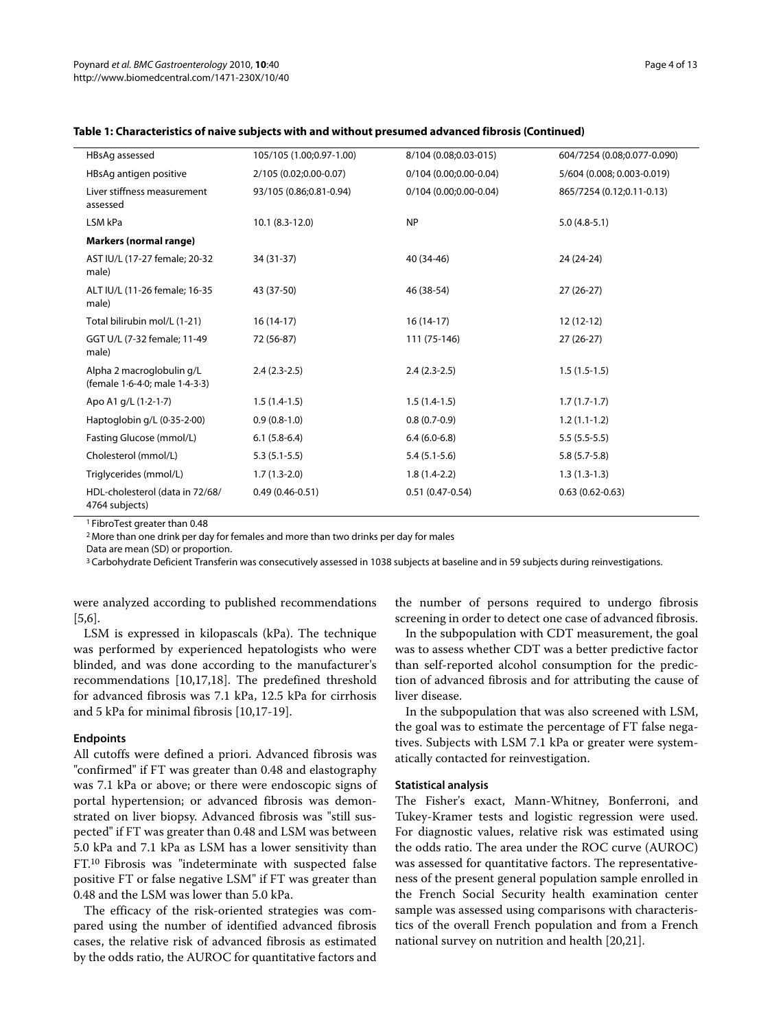| HBsAg assessed                                              | 105/105 (1.00;0.97-1.00) | 8/104 (0.08;0.03-015)  | 604/7254 (0.08;0.077-0.090) |
|-------------------------------------------------------------|--------------------------|------------------------|-----------------------------|
| HBsAg antigen positive                                      | 2/105 (0.02;0.00-0.07)   | 0/104 (0.00;0.00-0.04) | 5/604 (0.008; 0.003-0.019)  |
| Liver stiffness measurement<br>assessed                     | 93/105 (0.86;0.81-0.94)  | 0/104 (0.00;0.00-0.04) | 865/7254 (0.12;0.11-0.13)   |
| LSM kPa                                                     | $10.1 (8.3 - 12.0)$      | <b>NP</b>              | $5.0(4.8-5.1)$              |
| <b>Markers (normal range)</b>                               |                          |                        |                             |
| AST IU/L (17-27 female; 20-32<br>male)                      | 34 (31-37)               | 40 (34-46)             | 24 (24-24)                  |
| ALT IU/L (11-26 female; 16-35<br>male)                      | 43 (37-50)               | 46 (38-54)             | $27(26-27)$                 |
| Total bilirubin mol/L (1-21)                                | $16(14-17)$              | $16(14-17)$            | $12(12-12)$                 |
| GGT U/L (7-32 female; 11-49<br>male)                        | 72 (56-87)               | 111 (75-146)           | $27(26-27)$                 |
| Alpha 2 macroglobulin g/L<br>(female 1.6-4.0; male 1.4-3.3) | $2.4(2.3-2.5)$           | $2.4(2.3-2.5)$         | $1.5(1.5-1.5)$              |
| Apo A1 $q/L$ (1 $-2-1-7$ )                                  | $1.5(1.4-1.5)$           | $1.5(1.4-1.5)$         | $1.7(1.7-1.7)$              |
| Haptoglobin g/L (0.35-2.00)                                 | $0.9(0.8-1.0)$           | $0.8(0.7-0.9)$         | $1.2(1.1-1.2)$              |
| Fasting Glucose (mmol/L)                                    | $6.1(5.8-6.4)$           | $6.4(6.0-6.8)$         | $5.5(5.5-5.5)$              |
| Cholesterol (mmol/L)                                        | $5.3(5.1-5.5)$           | $5.4(5.1-5.6)$         | $5.8(5.7-5.8)$              |
| Triglycerides (mmol/L)                                      | $1.7(1.3-2.0)$           | $1.8(1.4-2.2)$         | $1.3(1.3-1.3)$              |
| HDL-cholesterol (data in 72/68/<br>4764 subjects)           | $0.49(0.46 - 0.51)$      | $0.51(0.47-0.54)$      | $0.63(0.62 - 0.63)$         |

#### **Table 1: Characteristics of naive subjects with and without presumed advanced fibrosis (Continued)**

1 FibroTest greater than 0.48

2 More than one drink per day for females and more than two drinks per day for males

Data are mean (SD) or proportion.

<sup>3</sup> Carbohydrate Deficient Transferin was consecutively assessed in 1038 subjects at baseline and in 59 subjects during reinvestigations.

were analyzed according to published recommendations [[5,](#page-11-11)[6\]](#page-11-4).

LSM is expressed in kilopascals (kPa). The technique was performed by experienced hepatologists who were blinded, and was done according to the manufacturer's recommendations [\[10](#page-11-6)[,17](#page-11-14),[18](#page-11-15)]. The predefined threshold for advanced fibrosis was 7.1 kPa, 12.5 kPa for cirrhosis and 5 kPa for minimal fibrosis [[10](#page-11-6),[17-](#page-11-14)[19\]](#page-11-16).

#### **Endpoints**

All cutoffs were defined a priori. Advanced fibrosis was "confirmed" if FT was greater than 0.48 and elastography was 7.1 kPa or above; or there were endoscopic signs of portal hypertension; or advanced fibrosis was demonstrated on liver biopsy. Advanced fibrosis was "still suspected" if FT was greater than 0.48 and LSM was between 5.0 kPa and 7.1 kPa as LSM has a lower sensitivity than FT.10 Fibrosis was "indeterminate with suspected false positive FT or false negative LSM" if FT was greater than 0.48 and the LSM was lower than 5.0 kPa.

The efficacy of the risk-oriented strategies was compared using the number of identified advanced fibrosis cases, the relative risk of advanced fibrosis as estimated by the odds ratio, the AUROC for quantitative factors and

the number of persons required to undergo fibrosis screening in order to detect one case of advanced fibrosis.

In the subpopulation with CDT measurement, the goal was to assess whether CDT was a better predictive factor than self-reported alcohol consumption for the prediction of advanced fibrosis and for attributing the cause of liver disease.

In the subpopulation that was also screened with LSM, the goal was to estimate the percentage of FT false negatives. Subjects with LSM 7.1 kPa or greater were systematically contacted for reinvestigation.

#### **Statistical analysis**

The Fisher's exact, Mann-Whitney, Bonferroni, and Tukey-Kramer tests and logistic regression were used. For diagnostic values, relative risk was estimated using the odds ratio. The area under the ROC curve (AUROC) was assessed for quantitative factors. The representativeness of the present general population sample enrolled in the French Social Security health examination center sample was assessed using comparisons with characteristics of the overall French population and from a French national survey on nutrition and health [\[20](#page-11-17)[,21](#page-11-18)].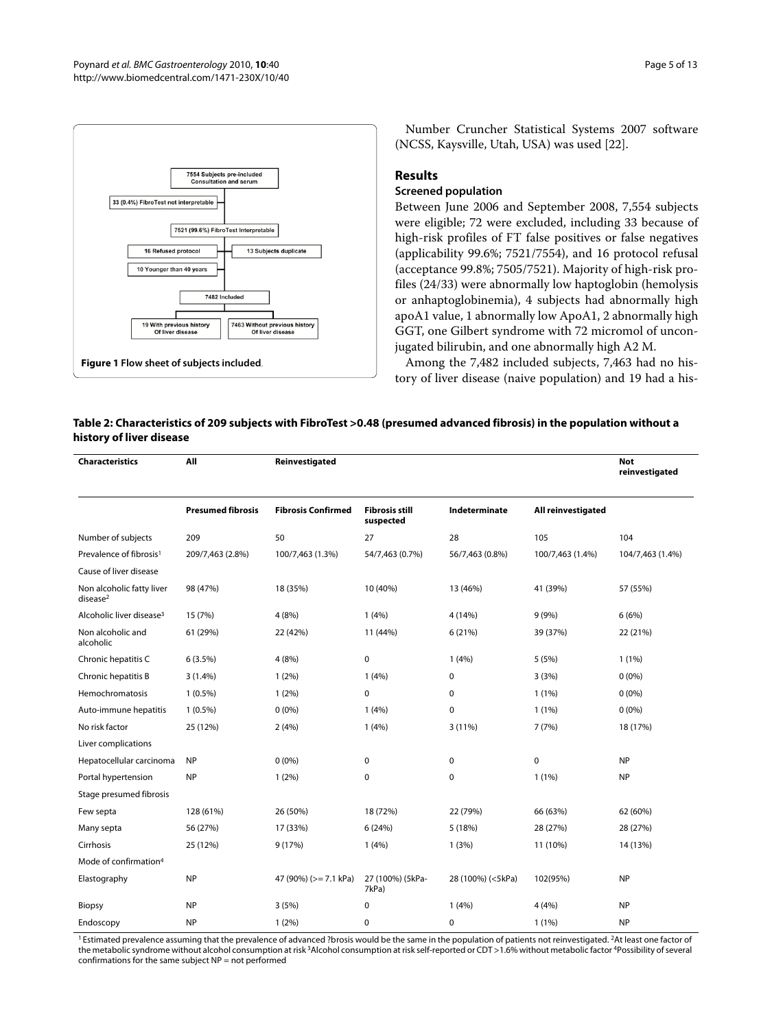<span id="page-4-0"></span>

Number Cruncher Statistical Systems 2007 software (NCSS, Kaysville, Utah, USA) was used [[22](#page-11-19)].

# **Results**

# **Screened population**

Between June 2006 and September 2008, 7,554 subjects were eligible; 72 were excluded, including 33 because of high-risk profiles of FT false positives or false negatives (applicability 99.6%; 7521/7554), and 16 protocol refusal (acceptance 99.8%; 7505/7521). Majority of high-risk profiles (24/33) were abnormally low haptoglobin (hemolysis or anhaptoglobinemia), 4 subjects had abnormally high apoA1 value, 1 abnormally low ApoA1, 2 abnormally high GGT, one Gilbert syndrome with 72 micromol of unconjugated bilirubin, and one abnormally high A2 M.

Among the 7,482 included subjects, 7,463 had no history of liver disease (naive population) and 19 had a his-

# **Table 2: Characteristics of 209 subjects with FibroTest >0.48 (presumed advanced fibrosis) in the population without a history of liver disease**

| <b>Characteristics</b>                            | All                      | Reinvestigated            |                                    |                   |                    | <b>Not</b><br>reinvestigated |
|---------------------------------------------------|--------------------------|---------------------------|------------------------------------|-------------------|--------------------|------------------------------|
|                                                   | <b>Presumed fibrosis</b> | <b>Fibrosis Confirmed</b> | <b>Fibrosis still</b><br>suspected | Indeterminate     | All reinvestigated |                              |
| Number of subjects                                | 209                      | 50                        | 27                                 | 28                | 105                | 104                          |
| Prevalence of fibrosis <sup>1</sup>               | 209/7,463 (2.8%)         | 100/7,463 (1.3%)          | 54/7,463 (0.7%)                    | 56/7,463 (0.8%)   | 100/7,463 (1.4%)   | 104/7,463 (1.4%)             |
| Cause of liver disease                            |                          |                           |                                    |                   |                    |                              |
| Non alcoholic fatty liver<br>disease <sup>2</sup> | 98 (47%)                 | 18 (35%)                  | 10 (40%)                           | 13 (46%)          | 41 (39%)           | 57 (55%)                     |
| Alcoholic liver disease <sup>3</sup>              | 15 (7%)                  | 4(8%)                     | 1(4%)                              | 4 (14%)           | 9(9%)              | 6(6%)                        |
| Non alcoholic and<br>alcoholic                    | 61 (29%)                 | 22 (42%)                  | 11 (44%)                           | 6(21%)            | 39 (37%)           | 22 (21%)                     |
| Chronic hepatitis C                               | 6(3.5%)                  | 4(8%)                     | 0                                  | 1(4%)             | 5(5%)              | $1(1\%)$                     |
| Chronic hepatitis B                               | 3(1.4%)                  | $1(2\%)$                  | 1(4%)                              | 0                 | 3(3%)              | $0(0\%)$                     |
| Hemochromatosis                                   | $1(0.5\%)$               | $1(2\%)$                  | 0                                  | 0                 | 1(1%)              | $0(0\%)$                     |
| Auto-immune hepatitis                             | $1(0.5\%)$               | $0(0\%)$                  | 1(4%)                              | 0                 | $1(1\%)$           | $0(0\%)$                     |
| No risk factor                                    | 25 (12%)                 | 2(4%)                     | 1(4%)                              | 3 (11%)           | 7(7%)              | 18 (17%)                     |
| Liver complications                               |                          |                           |                                    |                   |                    |                              |
| Hepatocellular carcinoma                          | <b>NP</b>                | $0(0\%)$                  | 0                                  | 0                 | $\pmb{0}$          | <b>NP</b>                    |
| Portal hypertension                               | <b>NP</b>                | $1(2\%)$                  | 0                                  | $\mathbf 0$       | $1(1\%)$           | <b>NP</b>                    |
| Stage presumed fibrosis                           |                          |                           |                                    |                   |                    |                              |
| Few septa                                         | 128 (61%)                | 26 (50%)                  | 18 (72%)                           | 22 (79%)          | 66 (63%)           | 62 (60%)                     |
| Many septa                                        | 56 (27%)                 | 17 (33%)                  | 6(24%)                             | 5 (18%)           | 28 (27%)           | 28 (27%)                     |
| Cirrhosis                                         | 25 (12%)                 | 9(17%)                    | 1(4%)                              | 1(3%)             | 11 (10%)           | 14 (13%)                     |
| Mode of confirmation <sup>4</sup>                 |                          |                           |                                    |                   |                    |                              |
| Elastography                                      | <b>NP</b>                | 47 (90%) (>= 7.1 kPa)     | 27 (100%) (5kPa-<br>7kPa)          | 28 (100%) (<5kPa) | 102(95%)           | <b>NP</b>                    |
| Biopsy                                            | <b>NP</b>                | 3(5%)                     | 0                                  | 1(4%)             | 4(4%)              | <b>NP</b>                    |
| Endoscopy                                         | <b>NP</b>                | 1(2%)                     | 0                                  | 0                 | 1(1%)              | <b>NP</b>                    |

<sup>1</sup> Estimated prevalence assuming that the prevalence of advanced ?brosis would be the same in the population of patients not reinvestigated. <sup>2</sup>At least one factor of the metabolic syndrome without alcohol consumption at risk 3Alcohol consumption at risk self-reported or CDT >1.6% without metabolic factor 4Possibility of several confirmations for the same subject  $NP = not$  performed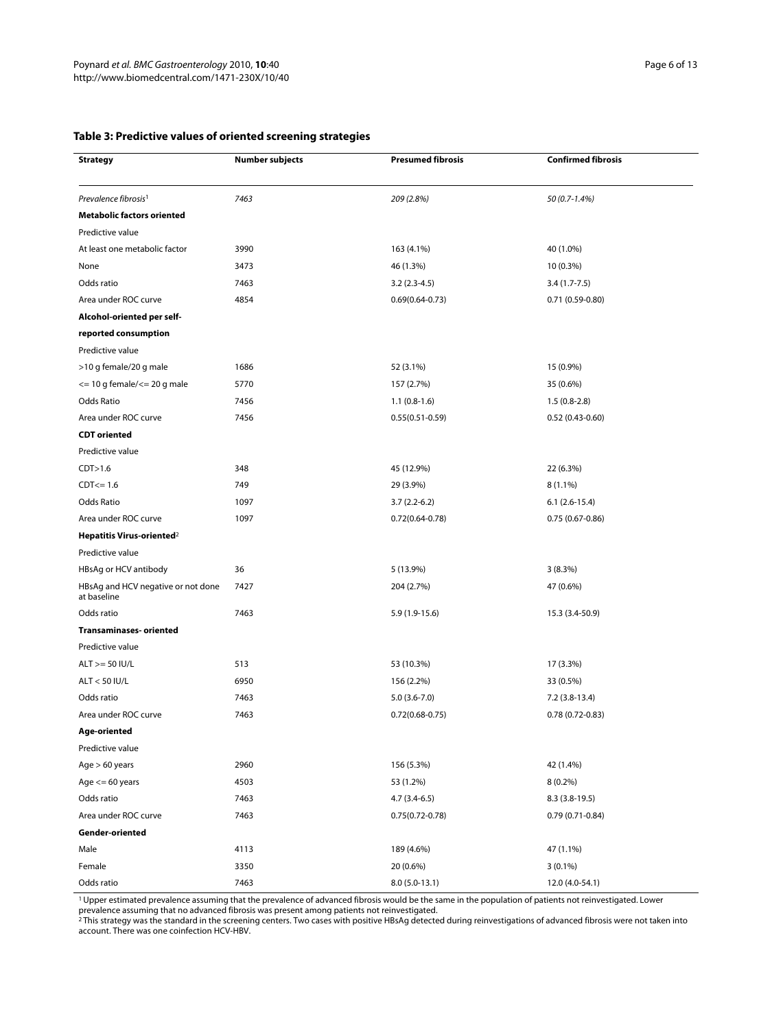# <span id="page-5-0"></span>**Table 3: Predictive values of oriented screening strategies**

| <b>Strategy</b>                                   | Number subjects | <b>Presumed fibrosis</b> | <b>Confirmed fibrosis</b> |  |
|---------------------------------------------------|-----------------|--------------------------|---------------------------|--|
|                                                   |                 |                          |                           |  |
| Prevalence fibrosis <sup>1</sup>                  | 7463            | 209 (2.8%)               | 50 (0.7-1.4%)             |  |
| <b>Metabolic factors oriented</b>                 |                 |                          |                           |  |
| Predictive value                                  |                 |                          |                           |  |
| At least one metabolic factor                     | 3990            | 163 (4.1%)               | 40 (1.0%)                 |  |
| None                                              | 3473            | 46 (1.3%)                | 10 (0.3%)                 |  |
| Odds ratio                                        | 7463            | $3.2(2.3-4.5)$           | 3.4 (1.7-7.5)             |  |
| Area under ROC curve                              | 4854            | $0.69(0.64 - 0.73)$      | $0.71(0.59-0.80)$         |  |
| Alcohol-oriented per self-                        |                 |                          |                           |  |
| reported consumption                              |                 |                          |                           |  |
| Predictive value                                  |                 |                          |                           |  |
| >10 g female/20 g male                            | 1686            | 52 (3.1%)                | 15 (0.9%)                 |  |
| $\epsilon$ = 10 g female/ $\epsilon$ = 20 g male  | 5770            | 157 (2.7%)               | 35 (0.6%)                 |  |
| Odds Ratio                                        | 7456            | $1.1(0.8-1.6)$           | $1.5(0.8-2.8)$            |  |
| Area under ROC curve                              | 7456            | $0.55(0.51 - 0.59)$      | $0.52(0.43 - 0.60)$       |  |
| <b>CDT</b> oriented                               |                 |                          |                           |  |
| Predictive value                                  |                 |                          |                           |  |
| CDT>1.6                                           | 348             | 45 (12.9%)               | 22 (6.3%)                 |  |
| $CDF < = 1.6$                                     | 749             | 29 (3.9%)                | $8(1.1\%)$                |  |
| <b>Odds Ratio</b>                                 | 1097            | $3.7(2.2-6.2)$           | $6.1(2.6-15.4)$           |  |
| Area under ROC curve                              | 1097            | $0.72(0.64 - 0.78)$      | $0.75(0.67-0.86)$         |  |
| Hepatitis Virus-oriented <sup>2</sup>             |                 |                          |                           |  |
| Predictive value                                  |                 |                          |                           |  |
| HBsAg or HCV antibody                             | 36              | 5 (13.9%)                | 3(8.3%)                   |  |
| HBsAg and HCV negative or not done<br>at baseline | 7427            | 204 (2.7%)               | 47 (0.6%)                 |  |
| Odds ratio                                        | 7463            | 5.9 (1.9-15.6)           | 15.3 (3.4-50.9)           |  |
| <b>Transaminases-oriented</b>                     |                 |                          |                           |  |
| Predictive value                                  |                 |                          |                           |  |
| $ALT$ >= 50 IU/L                                  | 513             | 53 (10.3%)               | 17 (3.3%)                 |  |
| ALT < 50 IU/L                                     | 6950            | 156 (2.2%)               | 33 (0.5%)                 |  |
| Odds ratio                                        | 7463            | $5.0(3.6-7.0)$           | 7.2 (3.8-13.4)            |  |
| Area under ROC curve                              | 7463            | $0.72(0.68 - 0.75)$      | $0.78(0.72 - 0.83)$       |  |
| Age-oriented                                      |                 |                          |                           |  |
| Predictive value                                  |                 |                          |                           |  |
| Age $> 60$ years                                  | 2960            | 156 (5.3%)               | 42 (1.4%)                 |  |
| Age $<= 60$ years                                 | 4503            | 53 (1.2%)                | $8(0.2\%)$                |  |
| Odds ratio                                        | 7463            | $4.7(3.4-6.5)$           | $8.3(3.8-19.5)$           |  |
| Area under ROC curve                              | 7463            | $0.75(0.72 - 0.78)$      | $0.79(0.71-0.84)$         |  |
| Gender-oriented                                   |                 |                          |                           |  |
| Male                                              | 4113            | 189 (4.6%)               | 47 (1.1%)                 |  |
| Female                                            | 3350            | 20 (0.6%)                | $3(0.1\%)$                |  |
| Odds ratio                                        | 7463            | $8.0(5.0-13.1)$          | 12.0 (4.0-54.1)           |  |

1 Upper estimated prevalence assuming that the prevalence of advanced fibrosis would be the same in the population of patients not reinvestigated. Lower

prevalence assuming that no advanced fibrosis was present among patients not reinvestigated.<br><sup>2</sup>This strategy was the standard in the screening centers. Two cases with positive HBsAg detected during reinvestigations of adv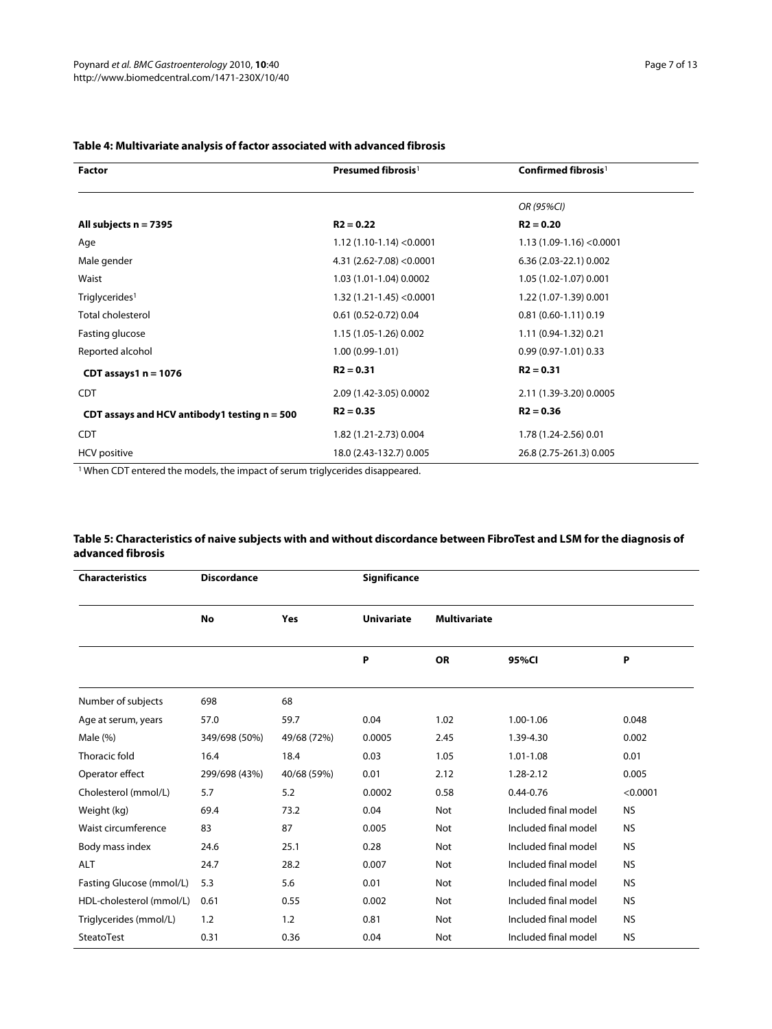| <b>Factor</b>                                  | Presumed fibrosis <sup>1</sup> | Confirmed fibrosis <sup>1</sup> |
|------------------------------------------------|--------------------------------|---------------------------------|
|                                                |                                | OR (95%CI)                      |
| All subjects $n = 7395$                        | $R2 = 0.22$                    | $R2 = 0.20$                     |
| Age                                            | $1.12(1.10-1.14) < 0.0001$     | $1.13(1.09-1.16) < 0.0001$      |
| Male gender                                    | 4.31 (2.62-7.08) < $0.0001$    | 6.36 (2.03-22.1) 0.002          |
| Waist                                          | 1.03 (1.01-1.04) 0.0002        | 1.05 (1.02-1.07) 0.001          |
| Triglycerides <sup>1</sup>                     | $1.32(1.21-1.45) < 0.0001$     | 1.22 (1.07-1.39) 0.001          |
| <b>Total cholesterol</b>                       | $0.61(0.52 - 0.72)0.04$        | $0.81(0.60-1.11)0.19$           |
| Fasting glucose                                | 1.15 (1.05-1.26) 0.002         | 1.11 (0.94-1.32) 0.21           |
| Reported alcohol                               | $1.00(0.99-1.01)$              | $0.99(0.97-1.01)0.33$           |
| CDT assays $1 n = 1076$                        | $R2 = 0.31$                    | $R2 = 0.31$                     |
| <b>CDT</b>                                     | 2.09 (1.42-3.05) 0.0002        | 2.11 (1.39-3.20) 0.0005         |
| CDT assays and HCV antibody1 testing $n = 500$ | $R2 = 0.35$                    | $R2 = 0.36$                     |
| <b>CDT</b>                                     | 1.82 (1.21-2.73) 0.004         | 1.78 (1.24-2.56) 0.01           |
| <b>HCV</b> positive                            | 18.0 (2.43-132.7) 0.005        | 26.8 (2.75-261.3) 0.005         |

# **Table 4: Multivariate analysis of factor associated with advanced fibrosis**

1 When CDT entered the models, the impact of serum triglycerides disappeared.

# **Table 5: Characteristics of naive subjects with and without discordance between FibroTest and LSM for the diagnosis of advanced fibrosis**

| <b>Characteristics</b>   | <b>Discordance</b> |             | Significance      |                     |                      |           |
|--------------------------|--------------------|-------------|-------------------|---------------------|----------------------|-----------|
|                          | No                 | Yes         | <b>Univariate</b> | <b>Multivariate</b> |                      |           |
|                          |                    |             | P                 | <b>OR</b>           | 95%CI                | P         |
| Number of subjects       | 698                | 68          |                   |                     |                      |           |
| Age at serum, years      | 57.0               | 59.7        | 0.04              | 1.02                | 1.00-1.06            | 0.048     |
| Male (%)                 | 349/698 (50%)      | 49/68 (72%) | 0.0005            | 2.45                | 1.39-4.30            | 0.002     |
| Thoracic fold            | 16.4               | 18.4        | 0.03              | 1.05                | 1.01-1.08            | 0.01      |
| Operator effect          | 299/698 (43%)      | 40/68 (59%) | 0.01              | 2.12                | 1.28-2.12            | 0.005     |
| Cholesterol (mmol/L)     | 5.7                | 5.2         | 0.0002            | 0.58                | $0.44 - 0.76$        | < 0.0001  |
| Weight (kg)              | 69.4               | 73.2        | 0.04              | Not                 | Included final model | <b>NS</b> |
| Waist circumference      | 83                 | 87          | 0.005             | Not                 | Included final model | <b>NS</b> |
| Body mass index          | 24.6               | 25.1        | 0.28              | Not                 | Included final model | <b>NS</b> |
| <b>ALT</b>               | 24.7               | 28.2        | 0.007             | Not                 | Included final model | <b>NS</b> |
| Fasting Glucose (mmol/L) | 5.3                | 5.6         | 0.01              | Not                 | Included final model | <b>NS</b> |
| HDL-cholesterol (mmol/L) | 0.61               | 0.55        | 0.002             | Not                 | Included final model | <b>NS</b> |
| Triglycerides (mmol/L)   | 1.2                | 1.2         | 0.81              | Not                 | Included final model | <b>NS</b> |
| SteatoTest               | 0.31               | 0.36        | 0.04              | Not                 | Included final model | <b>NS</b> |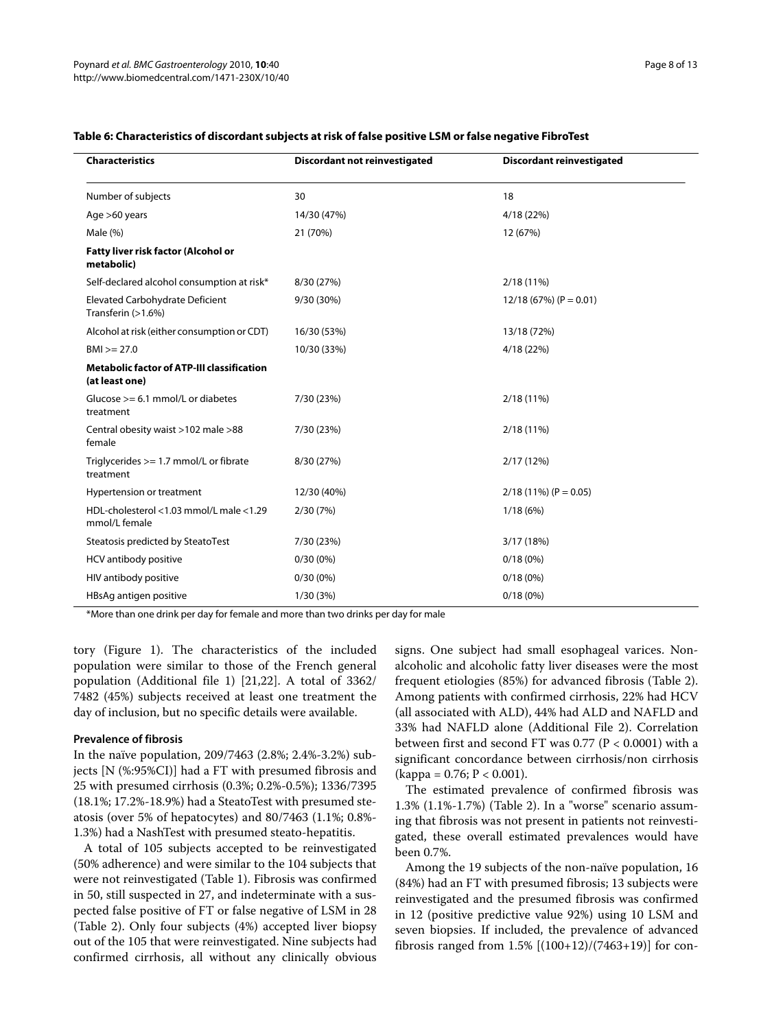| <b>Characteristics</b>                                              | <b>Discordant not reinvestigated</b> | <b>Discordant reinvestigated</b> |  |
|---------------------------------------------------------------------|--------------------------------------|----------------------------------|--|
| Number of subjects                                                  | 30                                   | 18                               |  |
| Age >60 years                                                       | 14/30 (47%)                          | 4/18 (22%)                       |  |
| Male $(\%)$                                                         | 21 (70%)                             | 12 (67%)                         |  |
| Fatty liver risk factor (Alcohol or<br>metabolic)                   |                                      |                                  |  |
| Self-declared alcohol consumption at risk*                          | 8/30 (27%)                           | 2/18 (11%)                       |  |
| Elevated Carbohydrate Deficient<br>Transferin (>1.6%)               | 9/30 (30%)                           | $12/18$ (67%) (P = 0.01)         |  |
| Alcohol at risk (either consumption or CDT)                         | 16/30 (53%)                          | 13/18 (72%)                      |  |
| $BMI > = 27.0$                                                      | 10/30 (33%)                          | 4/18 (22%)                       |  |
| <b>Metabolic factor of ATP-III classification</b><br>(at least one) |                                      |                                  |  |
| Glucose $>= 6.1$ mmol/L or diabetes<br>treatment                    | 7/30 (23%)                           | 2/18 (11%)                       |  |
| Central obesity waist >102 male >88<br>female                       | 7/30 (23%)                           | 2/18 (11%)                       |  |
| Triglycerides $>= 1.7$ mmol/L or fibrate<br>treatment               | 8/30 (27%)                           | 2/17(12%)                        |  |
| Hypertension or treatment                                           | 12/30 (40%)                          | $2/18(11\%) (P = 0.05)$          |  |
| HDL-cholesterol <1.03 mmol/L male <1.29<br>mmol/L female            | 2/30(7%)                             | 1/18(6%)                         |  |
| Steatosis predicted by SteatoTest                                   | 7/30 (23%)                           | 3/17 (18%)                       |  |
| HCV antibody positive                                               | $0/30(0\%)$                          | $0/18(0\%)$                      |  |
| HIV antibody positive                                               | $0/30(0\%)$                          | 0/18(0%)                         |  |
| HBsAg antigen positive                                              | 1/30(3%)                             | $0/18(0\%)$                      |  |

#### **Table 6: Characteristics of discordant subjects at risk of false positive LSM or false negative FibroTest**

\*More than one drink per day for female and more than two drinks per day for male

tory (Figure [1\)](#page-4-0). The characteristics of the included population were similar to those of the French general population (Additional file [1](#page-10-0)) [\[21](#page-11-18)[,22\]](#page-11-19). A total of 3362/ 7482 (45%) subjects received at least one treatment the day of inclusion, but no specific details were available.

#### **Prevalence of fibrosis**

In the naïve population, 209/7463 (2.8%; 2.4%-3.2%) subjects [N (%:95%CI)] had a FT with presumed fibrosis and 25 with presumed cirrhosis (0.3%; 0.2%-0.5%); 1336/7395 (18.1%; 17.2%-18.9%) had a SteatoTest with presumed steatosis (over 5% of hepatocytes) and 80/7463 (1.1%; 0.8%- 1.3%) had a NashTest with presumed steato-hepatitis.

A total of 105 subjects accepted to be reinvestigated (50% adherence) and were similar to the 104 subjects that were not reinvestigated (Table 1). Fibrosis was confirmed in 50, still suspected in 27, and indeterminate with a suspected false positive of FT or false negative of LSM in 28 (Table 2). Only four subjects (4%) accepted liver biopsy out of the 105 that were reinvestigated. Nine subjects had confirmed cirrhosis, all without any clinically obvious

signs. One subject had small esophageal varices. Nonalcoholic and alcoholic fatty liver diseases were the most frequent etiologies (85%) for advanced fibrosis (Table 2). Among patients with confirmed cirrhosis, 22% had HCV (all associated with ALD), 44% had ALD and NAFLD and 33% had NAFLD alone (Additional File [2\)](#page-10-1). Correlation between first and second FT was 0.77 (P < 0.0001) with a significant concordance between cirrhosis/non cirrhosis  $(kappa = 0.76; P < 0.001)$ .

The estimated prevalence of confirmed fibrosis was 1.3% (1.1%-1.7%) (Table 2). In a "worse" scenario assuming that fibrosis was not present in patients not reinvestigated, these overall estimated prevalences would have been 0.7%.

Among the 19 subjects of the non-naïve population, 16 (84%) had an FT with presumed fibrosis; 13 subjects were reinvestigated and the presumed fibrosis was confirmed in 12 (positive predictive value 92%) using 10 LSM and seven biopsies. If included, the prevalence of advanced fibrosis ranged from  $1.5\%$   $[(100+12)/(7463+19)]$  for con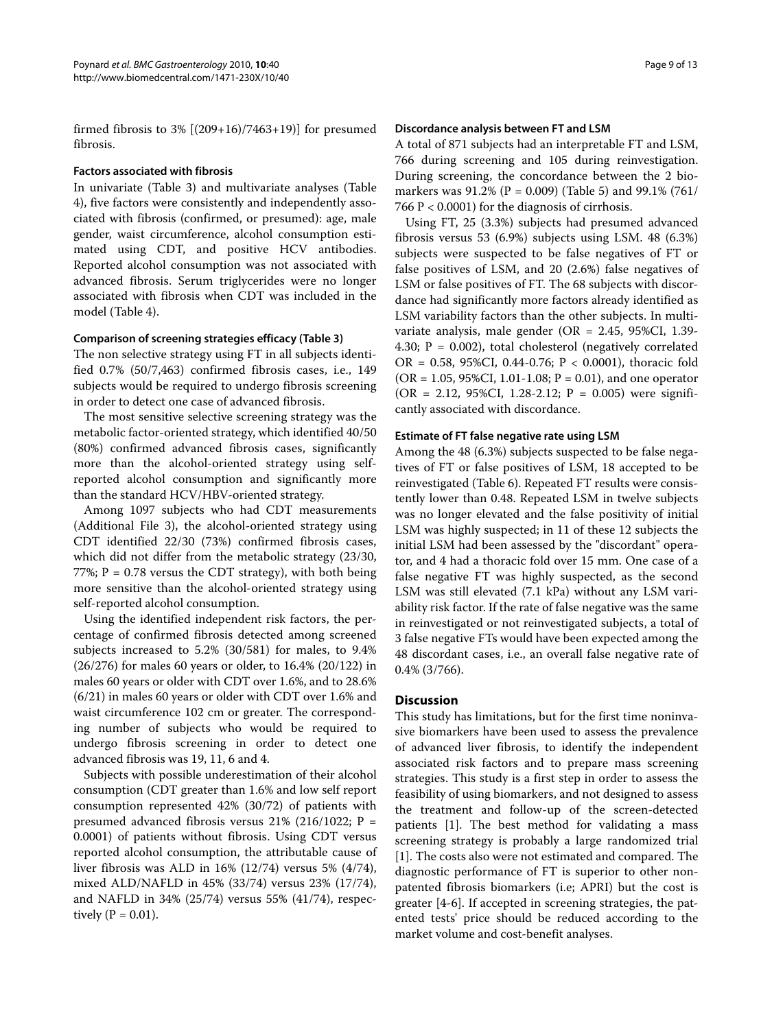firmed fibrosis to  $3\%$  [ $(209+16)/7463+19$ ] for presumed fibrosis.

#### **Factors associated with fibrosis**

In univariate (Table [3](#page-5-0)) and multivariate analyses (Table 4), five factors were consistently and independently associated with fibrosis (confirmed, or presumed): age, male gender, waist circumference, alcohol consumption estimated using CDT, and positive HCV antibodies. Reported alcohol consumption was not associated with advanced fibrosis. Serum triglycerides were no longer associated with fibrosis when CDT was included in the model (Table 4).

#### **Comparison of screening strategies efficacy (Table 3)**

The non selective strategy using FT in all subjects identified 0.7% (50/7,463) confirmed fibrosis cases, i.e., 149 subjects would be required to undergo fibrosis screening in order to detect one case of advanced fibrosis.

The most sensitive selective screening strategy was the metabolic factor-oriented strategy, which identified 40/50 (80%) confirmed advanced fibrosis cases, significantly more than the alcohol-oriented strategy using selfreported alcohol consumption and significantly more than the standard HCV/HBV-oriented strategy.

Among 1097 subjects who had CDT measurements (Additional File [3](#page-10-2)), the alcohol-oriented strategy using CDT identified 22/30 (73%) confirmed fibrosis cases, which did not differ from the metabolic strategy (23/30, 77%;  $P = 0.78$  versus the CDT strategy), with both being more sensitive than the alcohol-oriented strategy using self-reported alcohol consumption.

Using the identified independent risk factors, the percentage of confirmed fibrosis detected among screened subjects increased to 5.2% (30/581) for males, to 9.4% (26/276) for males 60 years or older, to 16.4% (20/122) in males 60 years or older with CDT over 1.6%, and to 28.6% (6/21) in males 60 years or older with CDT over 1.6% and waist circumference 102 cm or greater. The corresponding number of subjects who would be required to undergo fibrosis screening in order to detect one advanced fibrosis was 19, 11, 6 and 4.

Subjects with possible underestimation of their alcohol consumption (CDT greater than 1.6% and low self report consumption represented 42% (30/72) of patients with presumed advanced fibrosis versus  $21\%$  (216/1022; P = 0.0001) of patients without fibrosis. Using CDT versus reported alcohol consumption, the attributable cause of liver fibrosis was ALD in 16% (12/74) versus 5% (4/74), mixed ALD/NAFLD in 45% (33/74) versus 23% (17/74), and NAFLD in 34% (25/74) versus 55% (41/74), respectively  $(P = 0.01)$ .

#### **Discordance analysis between FT and LSM**

A total of 871 subjects had an interpretable FT and LSM, 766 during screening and 105 during reinvestigation. During screening, the concordance between the 2 biomarkers was  $91.2\%$  (P = 0.009) (Table 5) and  $99.1\%$  (761/ 766 P < 0.0001) for the diagnosis of cirrhosis.

Using FT, 25 (3.3%) subjects had presumed advanced fibrosis versus 53 (6.9%) subjects using LSM. 48 (6.3%) subjects were suspected to be false negatives of FT or false positives of LSM, and 20 (2.6%) false negatives of LSM or false positives of FT. The 68 subjects with discordance had significantly more factors already identified as LSM variability factors than the other subjects. In multivariate analysis, male gender (OR = 2.45, 95%CI, 1.39- 4.30;  $P = 0.002$ ), total cholesterol (negatively correlated OR = 0.58, 95%CI, 0.44-0.76;  $P < 0.0001$ ), thoracic fold ( $OR = 1.05, 95\% CI, 1.01 - 1.08; P = 0.01$ ), and one operator  $(OR = 2.12, 95\%CI, 1.28-2.12; P = 0.005)$  were significantly associated with discordance.

#### **Estimate of FT false negative rate using LSM**

Among the 48 (6.3%) subjects suspected to be false negatives of FT or false positives of LSM, 18 accepted to be reinvestigated (Table 6). Repeated FT results were consistently lower than 0.48. Repeated LSM in twelve subjects was no longer elevated and the false positivity of initial LSM was highly suspected; in 11 of these 12 subjects the initial LSM had been assessed by the "discordant" operator, and 4 had a thoracic fold over 15 mm. One case of a false negative FT was highly suspected, as the second LSM was still elevated (7.1 kPa) without any LSM variability risk factor. If the rate of false negative was the same in reinvestigated or not reinvestigated subjects, a total of 3 false negative FTs would have been expected among the 48 discordant cases, i.e., an overall false negative rate of 0.4% (3/766).

#### **Discussion**

This study has limitations, but for the first time noninvasive biomarkers have been used to assess the prevalence of advanced liver fibrosis, to identify the independent associated risk factors and to prepare mass screening strategies. This study is a first step in order to assess the feasibility of using biomarkers, and not designed to assess the treatment and follow-up of the screen-detected patients [\[1](#page-11-0)]. The best method for validating a mass screening strategy is probably a large randomized trial [[1\]](#page-11-0). The costs also were not estimated and compared. The diagnostic performance of FT is superior to other nonpatented fibrosis biomarkers (i.e; APRI) but the cost is greater [[4-](#page-11-3)[6\]](#page-11-4). If accepted in screening strategies, the patented tests' price should be reduced according to the market volume and cost-benefit analyses.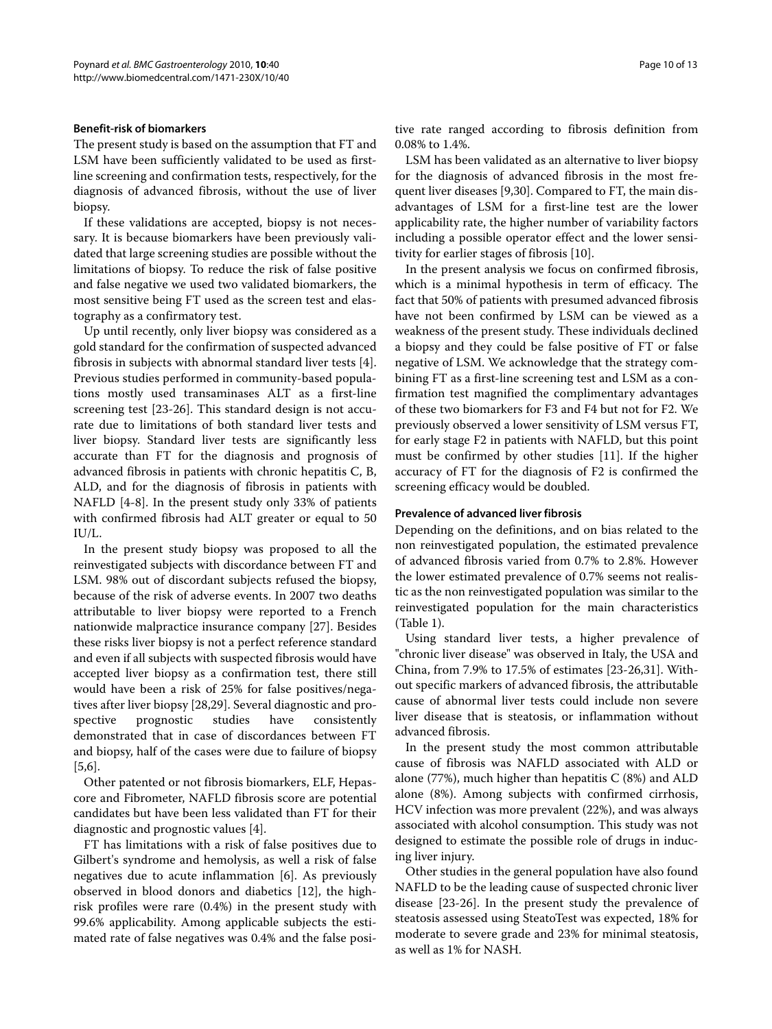#### **Benefit-risk of biomarkers**

The present study is based on the assumption that FT and LSM have been sufficiently validated to be used as firstline screening and confirmation tests, respectively, for the diagnosis of advanced fibrosis, without the use of liver biopsy.

If these validations are accepted, biopsy is not necessary. It is because biomarkers have been previously validated that large screening studies are possible without the limitations of biopsy. To reduce the risk of false positive and false negative we used two validated biomarkers, the most sensitive being FT used as the screen test and elastography as a confirmatory test.

Up until recently, only liver biopsy was considered as a gold standard for the confirmation of suspected advanced fibrosis in subjects with abnormal standard liver tests [\[4](#page-11-3)]. Previous studies performed in community-based populations mostly used transaminases ALT as a first-line screening test [\[23-](#page-11-20)[26](#page-11-21)]. This standard design is not accurate due to limitations of both standard liver tests and liver biopsy. Standard liver tests are significantly less accurate than FT for the diagnosis and prognosis of advanced fibrosis in patients with chronic hepatitis C, B, ALD, and for the diagnosis of fibrosis in patients with NAFLD [[4-](#page-11-3)[8](#page-11-22)]. In the present study only 33% of patients with confirmed fibrosis had ALT greater or equal to 50 IU/L.

In the present study biopsy was proposed to all the reinvestigated subjects with discordance between FT and LSM. 98% out of discordant subjects refused the biopsy, because of the risk of adverse events. In 2007 two deaths attributable to liver biopsy were reported to a French nationwide malpractice insurance company [[27\]](#page-11-23). Besides these risks liver biopsy is not a perfect reference standard and even if all subjects with suspected fibrosis would have accepted liver biopsy as a confirmation test, there still would have been a risk of 25% for false positives/negatives after liver biopsy [\[28](#page-11-24)[,29](#page-11-25)]. Several diagnostic and prospective prognostic studies have consistently demonstrated that in case of discordances between FT and biopsy, half of the cases were due to failure of biopsy [[5,](#page-11-11)[6\]](#page-11-4).

Other patented or not fibrosis biomarkers, ELF, Hepascore and Fibrometer, NAFLD fibrosis score are potential candidates but have been less validated than FT for their diagnostic and prognostic values [\[4](#page-11-3)].

FT has limitations with a risk of false positives due to Gilbert's syndrome and hemolysis, as well a risk of false negatives due to acute inflammation [[6\]](#page-11-4). As previously observed in blood donors and diabetics [[12](#page-11-8)], the highrisk profiles were rare (0.4%) in the present study with 99.6% applicability. Among applicable subjects the estimated rate of false negatives was 0.4% and the false posi-

tive rate ranged according to fibrosis definition from 0.08% to 1.4%.

LSM has been validated as an alternative to liver biopsy for the diagnosis of advanced fibrosis in the most frequent liver diseases [[9,](#page-11-5)[30\]](#page-11-26). Compared to FT, the main disadvantages of LSM for a first-line test are the lower applicability rate, the higher number of variability factors including a possible operator effect and the lower sensitivity for earlier stages of fibrosis [\[10\]](#page-11-6).

In the present analysis we focus on confirmed fibrosis, which is a minimal hypothesis in term of efficacy. The fact that 50% of patients with presumed advanced fibrosis have not been confirmed by LSM can be viewed as a weakness of the present study. These individuals declined a biopsy and they could be false positive of FT or false negative of LSM. We acknowledge that the strategy combining FT as a first-line screening test and LSM as a confirmation test magnified the complimentary advantages of these two biomarkers for F3 and F4 but not for F2. We previously observed a lower sensitivity of LSM versus FT, for early stage F2 in patients with NAFLD, but this point must be confirmed by other studies [\[11](#page-11-7)]. If the higher accuracy of FT for the diagnosis of F2 is confirmed the screening efficacy would be doubled.

#### **Prevalence of advanced liver fibrosis**

Depending on the definitions, and on bias related to the non reinvestigated population, the estimated prevalence of advanced fibrosis varied from 0.7% to 2.8%. However the lower estimated prevalence of 0.7% seems not realistic as the non reinvestigated population was similar to the reinvestigated population for the main characteristics (Table 1).

Using standard liver tests, a higher prevalence of "chronic liver disease" was observed in Italy, the USA and China, from 7.9% to 17.5% of estimates [[23](#page-11-20)[-26](#page-11-21)[,31](#page-11-27)]. Without specific markers of advanced fibrosis, the attributable cause of abnormal liver tests could include non severe liver disease that is steatosis, or inflammation without advanced fibrosis.

In the present study the most common attributable cause of fibrosis was NAFLD associated with ALD or alone (77%), much higher than hepatitis  $C$  (8%) and ALD alone (8%). Among subjects with confirmed cirrhosis, HCV infection was more prevalent (22%), and was always associated with alcohol consumption. This study was not designed to estimate the possible role of drugs in inducing liver injury.

Other studies in the general population have also found NAFLD to be the leading cause of suspected chronic liver disease [\[23](#page-11-20)-[26\]](#page-11-21). In the present study the prevalence of steatosis assessed using SteatoTest was expected, 18% for moderate to severe grade and 23% for minimal steatosis, as well as 1% for NASH.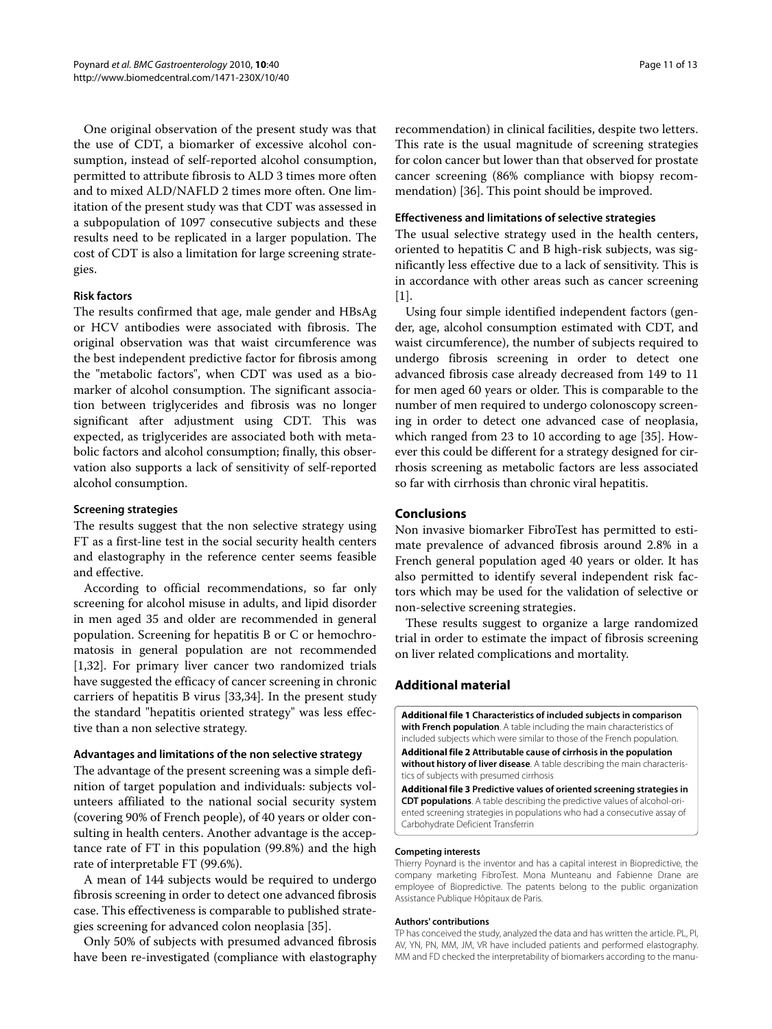One original observation of the present study was that the use of CDT, a biomarker of excessive alcohol consumption, instead of self-reported alcohol consumption, permitted to attribute fibrosis to ALD 3 times more often and to mixed ALD/NAFLD 2 times more often. One limitation of the present study was that CDT was assessed in a subpopulation of 1097 consecutive subjects and these results need to be replicated in a larger population. The cost of CDT is also a limitation for large screening strategies.

#### **Risk factors**

The results confirmed that age, male gender and HBsAg or HCV antibodies were associated with fibrosis. The original observation was that waist circumference was the best independent predictive factor for fibrosis among the "metabolic factors", when CDT was used as a biomarker of alcohol consumption. The significant association between triglycerides and fibrosis was no longer significant after adjustment using CDT. This was expected, as triglycerides are associated both with metabolic factors and alcohol consumption; finally, this observation also supports a lack of sensitivity of self-reported alcohol consumption.

#### **Screening strategies**

The results suggest that the non selective strategy using FT as a first-line test in the social security health centers and elastography in the reference center seems feasible and effective.

According to official recommendations, so far only screening for alcohol misuse in adults, and lipid disorder in men aged 35 and older are recommended in general population. Screening for hepatitis B or C or hemochromatosis in general population are not recommended [[1,](#page-11-0)[32\]](#page-11-28). For primary liver cancer two randomized trials have suggested the efficacy of cancer screening in chronic carriers of hepatitis B virus [\[33](#page-11-29)[,34](#page-11-30)]. In the present study the standard "hepatitis oriented strategy" was less effective than a non selective strategy.

#### **Advantages and limitations of the non selective strategy**

The advantage of the present screening was a simple definition of target population and individuals: subjects volunteers affiliated to the national social security system (covering 90% of French people), of 40 years or older consulting in health centers. Another advantage is the acceptance rate of FT in this population (99.8%) and the high rate of interpretable FT (99.6%).

A mean of 144 subjects would be required to undergo fibrosis screening in order to detect one advanced fibrosis case. This effectiveness is comparable to published strategies screening for advanced colon neoplasia [\[35](#page-11-31)].

Only 50% of subjects with presumed advanced fibrosis have been re-investigated (compliance with elastography

recommendation) in clinical facilities, despite two letters. This rate is the usual magnitude of screening strategies for colon cancer but lower than that observed for prostate cancer screening (86% compliance with biopsy recommendation) [[36\]](#page-12-0). This point should be improved.

#### **Effectiveness and limitations of selective strategies**

The usual selective strategy used in the health centers, oriented to hepatitis C and B high-risk subjects, was significantly less effective due to a lack of sensitivity. This is in accordance with other areas such as cancer screening [[1\]](#page-11-0).

Using four simple identified independent factors (gender, age, alcohol consumption estimated with CDT, and waist circumference), the number of subjects required to undergo fibrosis screening in order to detect one advanced fibrosis case already decreased from 149 to 11 for men aged 60 years or older. This is comparable to the number of men required to undergo colonoscopy screening in order to detect one advanced case of neoplasia, which ranged from 23 to 10 according to age [\[35](#page-11-31)]. However this could be different for a strategy designed for cirrhosis screening as metabolic factors are less associated so far with cirrhosis than chronic viral hepatitis.

#### **Conclusions**

Non invasive biomarker FibroTest has permitted to estimate prevalence of advanced fibrosis around 2.8% in a French general population aged 40 years or older. It has also permitted to identify several independent risk factors which may be used for the validation of selective or non-selective screening strategies.

These results suggest to organize a large randomized trial in order to estimate the impact of fibrosis screening on liver related complications and mortality.

#### **Additional material**

<span id="page-10-1"></span><span id="page-10-0"></span>**[Additional file 1](http://www.biomedcentral.com/content/supplementary/1471-230X-10-40-S1.DOC) Characteristics of included subjects in comparison with French population**. A table including the main characteristics of included subjects which were similar to those of the French population. **[Additional file 2](http://www.biomedcentral.com/content/supplementary/1471-230X-10-40-S2.DOC) Attributable cause of cirrhosis in the population without history of liver disease**. A table describing the main characteristics of subjects with presumed cirrhosis

<span id="page-10-2"></span>**[Additional file 3](http://www.biomedcentral.com/content/supplementary/1471-230X-10-40-S3.DOC) Predictive values of oriented screening strategies in CDT populations**. A table describing the predictive values of alcohol-oriented screening strategies in populations who had a consecutive assay of Carbohydrate Deficient Transferrin

#### **Competing interests**

Thierry Poynard is the inventor and has a capital interest in Biopredictive, the company marketing FibroTest. Mona Munteanu and Fabienne Drane are employee of Biopredictive. The patents belong to the public organization Assistance Publique Hôpitaux de Paris.

#### **Authors' contributions**

TP has conceived the study, analyzed the data and has written the article. PL, PI, AV, YN, PN, MM, JM, VR have included patients and performed elastography. MM and FD checked the interpretability of biomarkers according to the manu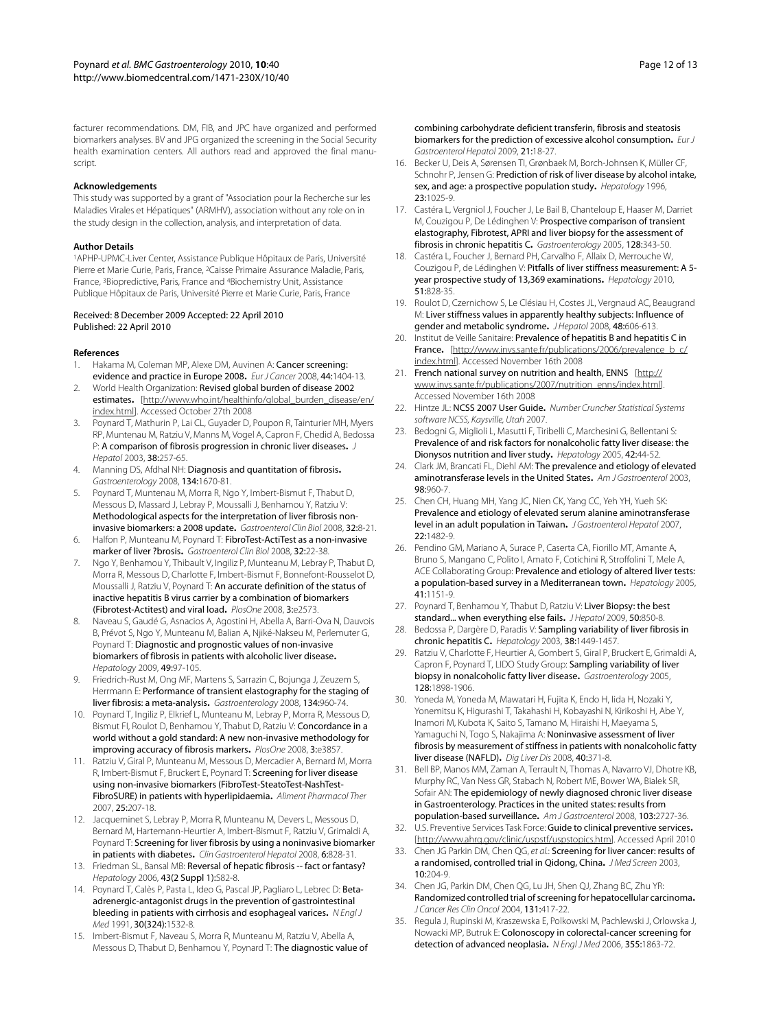facturer recommendations. DM, FIB, and JPC have organized and performed biomarkers analyses. BV and JPG organized the screening in the Social Security health examination centers. All authors read and approved the final manuscript.

#### **Acknowledgements**

This study was supported by a grant of "Association pour la Recherche sur les Maladies Virales et Hépatiques" (ARMHV), association without any role on in the study design in the collection, analysis, and interpretation of data.

#### **Author Details**

1APHP-UPMC-Liver Center, Assistance Publique Hôpitaux de Paris, Université Pierre et Marie Curie, Paris, France, 2Caisse Primaire Assurance Maladie, Paris, France, 3Biopredictive, Paris, France and 4Biochemistry Unit, Assistance Publique Hôpitaux de Paris, Université Pierre et Marie Curie, Paris, France

#### Received: 8 December 2009 Accepted: 22 April 2010 Published: 22 April 2010

#### **References**

- <span id="page-11-0"></span>1. Hakama M, Coleman MP, Alexe DM, Auvinen A: Cancer screening: evidence and practice in Europe 2008**.** Eur J Cancer 2008, 44:1404-13.
- <span id="page-11-1"></span>2. World Health Organization: Revised global burden of disease 2002 estimates**.** [\[http://www.who.int/healthinfo/global\\_burden\\_disease/en/](http://www.who.int/healthinfo/global_burden_disease/en/index.html) [index.html\]](http://www.who.int/healthinfo/global_burden_disease/en/index.html). Accessed October 27th 2008
- <span id="page-11-2"></span>3. Poynard T, Mathurin P, Lai CL, Guyader D, Poupon R, Tainturier MH, Myers RP, Muntenau M, Ratziu V, Manns M, Vogel A, Capron F, Chedid A, Bedossa P: A comparison of fibrosis progression in chronic liver diseases**.** J Hepatol 2003, 38:257-65.
- <span id="page-11-3"></span>4. Manning DS, Afdhal NH: Diagnosis and quantitation of fibrosis**.** Gastroenterology 2008, 134:1670-81.
- <span id="page-11-11"></span>5. Poynard T, Muntenau M, Morra R, Ngo Y, Imbert-Bismut F, Thabut D, Messous D, Massard J, Lebray P, Moussalli J, Benhamou Y, Ratziu V: Methodological aspects for the interpretation of liver fibrosis noninvasive biomarkers: a 2008 update**[.](http://www.ncbi.nlm.nih.gov/entrez/query.fcgi?cmd=Retrieve&db=PubMed&dopt=Abstract&list_uids=18973843)** Gastroenterol Clin Biol 2008, 32:8-21.
- <span id="page-11-4"></span>6. Halfon P, Munteanu M, Poynard T: FibroTest-ActiTest as a non-invasive marker of liver ?brosis**.** Gastroenterol Clin Biol 2008, 32:22-38.
- 7. Ngo Y, Benhamou Y, Thibault V, Ingiliz P, Munteanu M, Lebray P, Thabut D, Morra R, Messous D, Charlotte F, Imbert-Bismut F, Bonnefont-Rousselot D, Moussalli J, Ratziu V, Poynard T: An accurate definition of the status of inactive hepatitis B virus carrier by a combination of biomarkers (Fibrotest-Actitest) and viral load**.** PlosOne 2008, 3:e2573.
- <span id="page-11-22"></span>8. Naveau S, Gaudé G, Asnacios A, Agostini H, Abella A, Barri-Ova N, Dauvois B, Prévot S, Ngo Y, Munteanu M, Balian A, Njiké-Nakseu M, Perlemuter G, Poynard T: Diagnostic and prognostic values of non-invasive biomarkers of fibrosis in patients with alcoholic liver disease**.** Hepatology 2009, 49:97-105.
- <span id="page-11-5"></span>9. Friedrich-Rust M, Ong MF, Martens S, Sarrazin C, Bojunga J, Zeuzem S, Herrmann E: Performance of transient elastography for the staging of liver fibrosis: a meta-analysis**.** Gastroenterology 2008, 134:960-74.
- <span id="page-11-6"></span>10. Poynard T, Ingiliz P, Elkrief L, Munteanu M, Lebray P, Morra R, Messous D, Bismut FI, Roulot D, Benhamou Y, Thabut D, Ratziu V: Concordance in a world without a gold standard: A new non-invasive methodology for improving accuracy of fibrosis markers**.** PlosOne 2008, 3:e3857.
- <span id="page-11-7"></span>11. Ratziu V, Giral P, Munteanu M, Messous D, Mercadier A, Bernard M, Morra R, Imbert-Bismut F, Bruckert E, Poynard T: Screening for liver disease using non-invasive biomarkers (FibroTest-SteatoTest-NashTest-FibroSURE) in patients with hyperlipidaemia**[.](http://www.ncbi.nlm.nih.gov/entrez/query.fcgi?cmd=Retrieve&db=PubMed&dopt=Abstract&list_uids=17229244)** Aliment Pharmacol Ther 2007, 25:207-18.
- <span id="page-11-8"></span>12. Jacqueminet S, Lebray P, Morra R, Munteanu M, Devers L, Messous D, Bernard M, Hartemann-Heurtier A, Imbert-Bismut F, Ratziu V, Grimaldi A, Poynard T: Screening for liver fibrosis by using a noninvasive biomarker in patients with diabetes[.](http://www.ncbi.nlm.nih.gov/entrez/query.fcgi?cmd=Retrieve&db=PubMed&dopt=Abstract&list_uids=18524692) Clin Gastroenterol Hepatol 2008, 6:828-31.
- <span id="page-11-9"></span>13. Friedman SL, Bansal MB: Reversal of hepatic fibrosis -- fact or fantasy? Hepatology 2006, 43(2 Suppl 1):S82-8.
- <span id="page-11-10"></span>14. Poynard T, Calès P, Pasta L, Ideo G, Pascal JP, Pagliaro L, Lebrec D: Betaadrenergic-antagonist drugs in the prevention of gastrointestinal bleeding in patients with cirrhosis and esophageal varices**.** N Engl J Med 1991, 30(324):1532-8.
- <span id="page-11-12"></span>15. Imbert-Bismut F, Naveau S, Morra R, Munteanu M, Ratziu V, Abella A, Messous D, Thabut D, Benhamou Y, Poynard T: The diagnostic value of

combining carbohydrate deficient transferin, fibrosis and steatosis biomarkers for the prediction of excessive alcohol consumption**[.](http://www.ncbi.nlm.nih.gov/entrez/query.fcgi?cmd=Retrieve&db=PubMed&dopt=Abstract&list_uids=19011575)** Eur J Gastroenterol Hepatol 2009, 21:18-27.

- <span id="page-11-13"></span>16. Becker U, Deis A, Sørensen TI, Grønbaek M, Borch-Johnsen K, Müller CF, Schnohr P, Jensen G: Prediction of risk of liver disease by alcohol intake, sex, and age: a prospective population study**[.](http://www.ncbi.nlm.nih.gov/entrez/query.fcgi?cmd=Retrieve&db=PubMed&dopt=Abstract&list_uids=8621128)** Hepatology 1996, 23:1025-9.
- <span id="page-11-14"></span>17. Castéra L, Vergniol J, Foucher J, Le Bail B, Chanteloup E, Haaser M, Darriet M, Couzigou P, De Lédinghen V: Prospective comparison of transient elastography, Fibrotest, APRI and liver biopsy for the assessment of fibrosis in chronic hepatitis C**.** Gastroenterology 2005, 128:343-50.
- <span id="page-11-15"></span>18. Castéra L, Foucher J, Bernard PH, Carvalho F, Allaix D, Merrouche W, Couzigou P, de Lédinghen V: Pitfalls of liver stiffness measurement: A 5 year prospective study of 13,369 examinations**.** Hepatology 2010, 51:828-35.
- <span id="page-11-16"></span>19. Roulot D, Czernichow S, Le Clésiau H, Costes JL, Vergnaud AC, Beaugrand M: Liver stiffness values in apparently healthy subjects: Influence of gender and metabolic syndrome**.** J Hepatol 2008, 48:606-613.
- <span id="page-11-17"></span>20. Institut de Veille Sanitaire: Prevalence of hepatitis B and hepatitis C in France. [\[http://www.invs.sante.fr/publications/2006/prevalence\\_b\\_c/](http://www.invs.sante.fr/publications/2006/prevalence_b_c/index.html) [index.html\]](http://www.invs.sante.fr/publications/2006/prevalence_b_c/index.html). Accessed November 16th 2008
- <span id="page-11-18"></span>21. French national survey on nutrition and health, ENNS [[http://](http://www.invs.sante.fr/publications/2007/nutrition_enns/index.html) [www.invs.sante.fr/publications/2007/nutrition\\_enns/index.html\]](http://www.invs.sante.fr/publications/2007/nutrition_enns/index.html). Accessed November 16th 2008
- <span id="page-11-19"></span>22. Hintze JL: NCSS 2007 User Guide**.** Number Cruncher Statistical Systems software NCSS, Kaysville, Utah 2007.
- <span id="page-11-20"></span>23. Bedogni G, Miglioli L, Masutti F, Tiribelli C, Marchesini G, Bellentani S: Prevalence of and risk factors for nonalcoholic fatty liver disease: the Dionysos nutrition and liver study**.** Hepatology 2005, 42:44-52.
- 24. Clark JM, Brancati FL, Diehl AM: The prevalence and etiology of elevated aminotransferase levels in the United States**.** Am J Gastroenterol 2003, 98:960-7.
- 25. Chen CH, Huang MH, Yang JC, Nien CK, Yang CC, Yeh YH, Yueh SK: Prevalence and etiology of elevated serum alanine aminotransferase level in an adult population in Taiwan**.** J Gastroenterol Hepatol 2007, 22:1482-9.
- <span id="page-11-21"></span>26. Pendino GM, Mariano A, Surace P, Caserta CA, Fiorillo MT, Amante A, Bruno S, Mangano C, Polito I, Amato F, Cotichini R, Stroffolini T, Mele A, ACE Collaborating Group: Prevalence and etiology of altered liver tests: a population-based survey in a Mediterranean town**.** Hepatology 2005, 41:1151-9.
- <span id="page-11-23"></span>27. Poynard T, Benhamou Y, Thabut D, Ratziu V: Liver Biopsy: the best standard... when everything else fails**[.](http://www.ncbi.nlm.nih.gov/entrez/query.fcgi?cmd=Retrieve&db=PubMed&dopt=Abstract&list_uids=19329214)** J Hepatol 2009, 50:850-8.
- <span id="page-11-24"></span>28. Bedossa P, Dargère D, Paradis V: Sampling variability of liver fibrosis in chronic hepatitis C**.** Hepatology 2003, 38:1449-1457.
- <span id="page-11-25"></span>29. Ratziu V, Charlotte F, Heurtier A, Gombert S, Giral P, Bruckert E, Grimaldi A, Capron F, Poynard T, LIDO Study Group: Sampling variability of liver biopsy in nonalcoholic fatty liver disease**[.](http://www.ncbi.nlm.nih.gov/entrez/query.fcgi?cmd=Retrieve&db=PubMed&dopt=Abstract&list_uids=15940625)** Gastroenterology 2005, 128:1898-1906.
- <span id="page-11-26"></span>30. Yoneda M, Yoneda M, Mawatari H, Fujita K, Endo H, Iida H, Nozaki Y, Yonemitsu K, Higurashi T, Takahashi H, Kobayashi N, Kirikoshi H, Abe Y, Inamori M, Kubota K, Saito S, Tamano M, Hiraishi H, Maeyama S, Yamaguchi N, Togo S, Nakajima A: Noninvasive assessment of liver fibrosis by measurement of stiffness in patients with nonalcoholic fatty liver disease (NAFLD)**.** Dig Liver Dis 2008, 40:371-8.
- <span id="page-11-27"></span>31. Bell BP, Manos MM, Zaman A, Terrault N, Thomas A, Navarro VJ, Dhotre KB, Murphy RC, Van Ness GR, Stabach N, Robert ME, Bower WA, Bialek SR, Sofair AN: The epidemiology of newly diagnosed chronic liver disease in Gastroenterology. Practices in the united states: results from population-based surveillance**.** Am J Gastroenterol 2008, 103:2727-36.
- <span id="page-11-28"></span>32. U.S. Preventive Services Task Force: Guide to clinical preventive services**.** [<http://www.ahrq.gov/clinic/uspstf/uspstopics.htm>]. Accessed April 2010
- <span id="page-11-29"></span>33. Chen JG Parkin DM, Chen OG, et al.: Screening for liver cancer: results of a randomised, controlled trial in Qidong, China**.** J Med Screen 2003,  $10:204-9$
- <span id="page-11-30"></span>34. Chen JG, Parkin DM, Chen QG, Lu JH, Shen QJ, Zhang BC, Zhu YR: Randomized controlled trial of screening for hepatocellular carcinoma**.** J Cancer Res Clin Oncol 2004, 131:417-22.
- <span id="page-11-31"></span>35. Regula J, Rupinski M, Kraszewska E, Polkowski M, Pachlewski J, Orlowska J, Nowacki MP, Butruk E: Colonoscopy in colorectal-cancer screening for detection of advanced neoplasia**[.](http://www.ncbi.nlm.nih.gov/entrez/query.fcgi?cmd=Retrieve&db=PubMed&dopt=Abstract&list_uids=17079760)** N Engl J Med 2006, 355:1863-72.